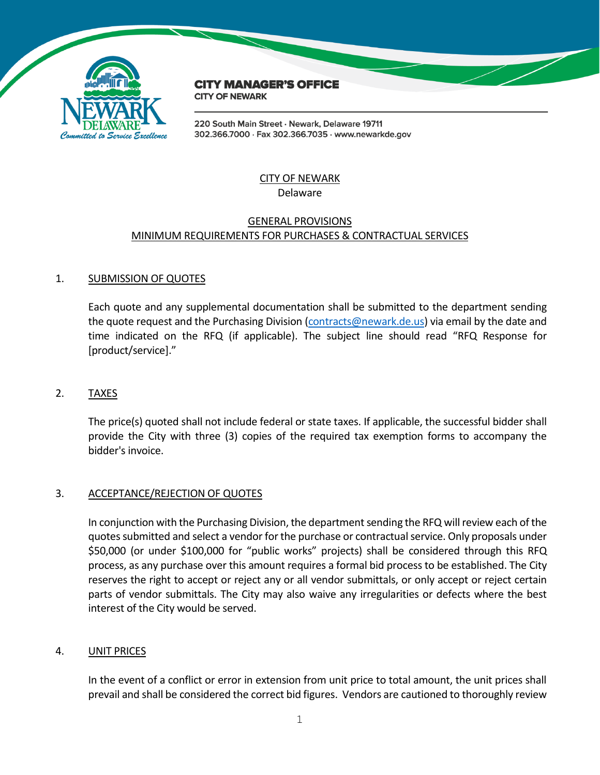

# **CITY MANAGER'S OFFICE**

**CITY OF NEWARK** 

220 South Main Street · Newark, Delaware 19711 302.366.7000 · Fax 302.366.7035 · www.newarkde.gov

#### CITY OF NEWARK Delaware

#### GENERAL PROVISIONS MINIMUM REQUIREMENTS FOR PURCHASES & CONTRACTUAL SERVICES

# 1. SUBMISSION OF QUOTES

Each quote and any supplemental documentation shall be submitted to the department sending the quote request and the Purchasing Division [\(contracts@newark.de.us\)](mailto:contracts@newark.de.us) via email by the date and time indicated on the RFQ (if applicable). The subject line should read "RFQ Response for [product/service]."

# 2. TAXES

The price(s) quoted shall not include federal or state taxes. If applicable, the successful bidder shall provide the City with three (3) copies of the required tax exemption forms to accompany the bidder's invoice.

# 3. ACCEPTANCE/REJECTION OF QUOTES

In conjunction with the Purchasing Division, the department sending the RFQ will review each of the quotes submitted and select a vendor for the purchase or contractual service. Only proposals under \$50,000 (or under \$100,000 for "public works" projects) shall be considered through this RFQ process, as any purchase over this amount requires a formal bid process to be established. The City reserves the right to accept or reject any or all vendor submittals, or only accept or reject certain parts of vendor submittals. The City may also waive any irregularities or defects where the best interest of the City would be served.

## 4. UNIT PRICES

In the event of a conflict or error in extension from unit price to total amount, the unit prices shall prevail and shall be considered the correct bid figures. Vendors are cautioned to thoroughly review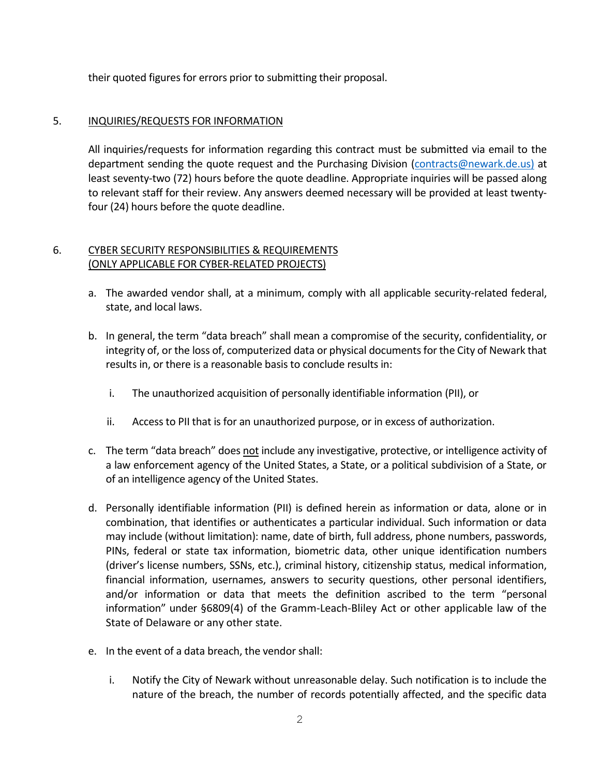their quoted figures for errors prior to submitting their proposal.

## 5. INQUIRIES/REQUESTS FOR INFORMATION

All inquiries/requests for information regarding this contract must be submitted via email to the department sending the quote request and the Purchasing Division [\(contracts@newark.de.us\)](mailto:contracts@newark.de.us) at least seventy-two (72) hours before the quote deadline. Appropriate inquiries will be passed along to relevant staff for their review. Any answers deemed necessary will be provided at least twentyfour (24) hours before the quote deadline.

## 6. CYBER SECURITY RESPONSIBILITIES & REQUIREMENTS (ONLY APPLICABLE FOR CYBER-RELATED PROJECTS)

- a. The awarded vendor shall, at a minimum, comply with all applicable security-related federal, state, and local laws.
- b. In general, the term "data breach" shall mean a compromise of the security, confidentiality, or integrity of, or the loss of, computerized data or physical documents for the City of Newark that results in, or there is a reasonable basis to conclude results in:
	- i. The unauthorized acquisition of personally identifiable information (PII), or
	- ii. Access to PII that is for an unauthorized purpose, or in excess of authorization.
- c. The term "data breach" does not include any investigative, protective, or intelligence activity of a law enforcement agency of the United States, a State, or a political subdivision of a State, or of an intelligence agency of the United States.
- d. Personally identifiable information (PII) is defined herein as information or data, alone or in combination, that identifies or authenticates a particular individual. Such information or data may include (without limitation): name, date of birth, full address, phone numbers, passwords, PINs, federal or state tax information, biometric data, other unique identification numbers (driver's license numbers, SSNs, etc.), criminal history, citizenship status, medical information, financial information, usernames, answers to security questions, other personal identifiers, and/or information or data that meets the definition ascribed to the term "personal information" under §6809(4) of the Gramm-Leach-Bliley Act or other applicable law of the State of Delaware or any other state.
- e. In the event of a data breach, the vendor shall:
	- i. Notify the City of Newark without unreasonable delay. Such notification is to include the nature of the breach, the number of records potentially affected, and the specific data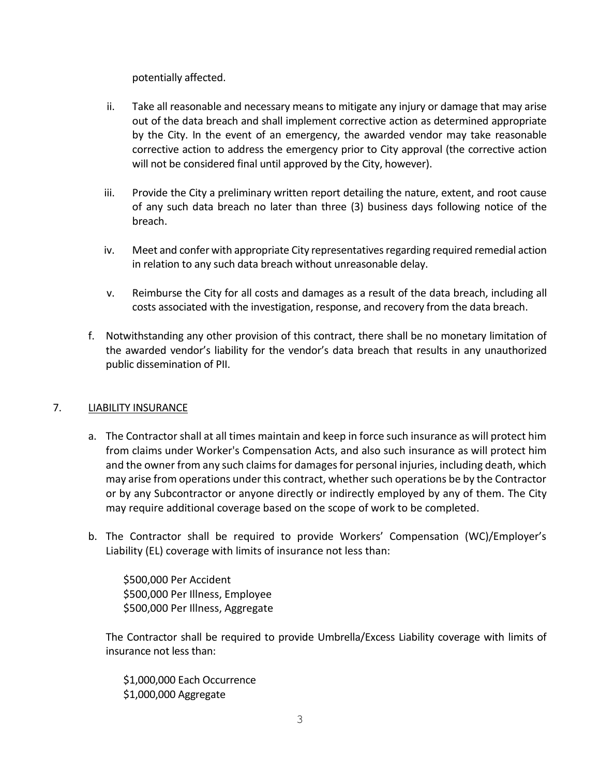potentially affected.

- ii. Take all reasonable and necessary means to mitigate any injury or damage that may arise out of the data breach and shall implement corrective action as determined appropriate by the City. In the event of an emergency, the awarded vendor may take reasonable corrective action to address the emergency prior to City approval (the corrective action will not be considered final until approved by the City, however).
- iii. Provide the City a preliminary written report detailing the nature, extent, and root cause of any such data breach no later than three (3) business days following notice of the breach.
- iv. Meet and confer with appropriate City representatives regarding required remedial action in relation to any such data breach without unreasonable delay.
- v. Reimburse the City for all costs and damages as a result of the data breach, including all costs associated with the investigation, response, and recovery from the data breach.
- f. Notwithstanding any other provision of this contract, there shall be no monetary limitation of the awarded vendor's liability for the vendor's data breach that results in any unauthorized public dissemination of PII.

# 7. LIABILITY INSURANCE

- a. The Contractor shall at all times maintain and keep in force such insurance as will protect him from claims under Worker's Compensation Acts, and also such insurance as will protect him and the owner from any such claims for damages for personal injuries, including death, which may arise from operations under this contract, whether such operations be by the Contractor or by any Subcontractor or anyone directly or indirectly employed by any of them. The City may require additional coverage based on the scope of work to be completed.
- b. The Contractor shall be required to provide Workers' Compensation (WC)/Employer's Liability (EL) coverage with limits of insurance not less than:

\$500,000 Per Accident \$500,000 Per Illness, Employee \$500,000 Per Illness, Aggregate

The Contractor shall be required to provide Umbrella/Excess Liability coverage with limits of insurance not less than:

\$1,000,000 Each Occurrence \$1,000,000 Aggregate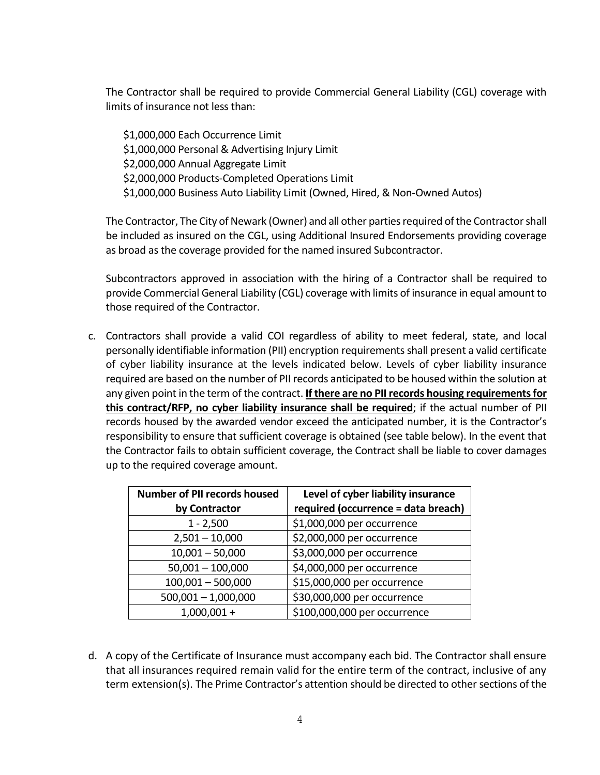The Contractor shall be required to provide Commercial General Liability (CGL) coverage with limits of insurance not less than:

\$1,000,000 Each Occurrence Limit \$1,000,000 Personal & Advertising Injury Limit \$2,000,000 Annual Aggregate Limit \$2,000,000 Products-Completed Operations Limit \$1,000,000 Business Auto Liability Limit (Owned, Hired, & Non-Owned Autos)

The Contractor, The City of Newark (Owner) and all other parties required of the Contractor shall be included as insured on the CGL, using Additional Insured Endorsements providing coverage as broad as the coverage provided for the named insured Subcontractor.

Subcontractors approved in association with the hiring of a Contractor shall be required to provide Commercial General Liability (CGL) coverage with limits of insurance in equal amount to those required of the Contractor.

c. Contractors shall provide a valid COI regardless of ability to meet federal, state, and local personally identifiable information (PII) encryption requirements shall present a valid certificate of cyber liability insurance at the levels indicated below. Levels of cyber liability insurance required are based on the number of PII records anticipated to be housed within the solution at any given point in the term of the contract. **If there are no PII records housing requirements for this contract/RFP, no cyber liability insurance shall be required**; if the actual number of PII records housed by the awarded vendor exceed the anticipated number, it is the Contractor's responsibility to ensure that sufficient coverage is obtained (see table below). In the event that the Contractor fails to obtain sufficient coverage, the Contract shall be liable to cover damages up to the required coverage amount.

| <b>Number of PII records housed</b> | Level of cyber liability insurance  |
|-------------------------------------|-------------------------------------|
| by Contractor                       | required (occurrence = data breach) |
| $1 - 2,500$                         | \$1,000,000 per occurrence          |
| $2,501 - 10,000$                    | \$2,000,000 per occurrence          |
| $10,001 - 50,000$                   | \$3,000,000 per occurrence          |
| $50,001 - 100,000$                  | \$4,000,000 per occurrence          |
| $100,001 - 500,000$                 | \$15,000,000 per occurrence         |
| $500,001 - 1,000,000$               | \$30,000,000 per occurrence         |
| $1,000,001 +$                       | \$100,000,000 per occurrence        |

d. A copy of the Certificate of Insurance must accompany each bid. The Contractor shall ensure that all insurances required remain valid for the entire term of the contract, inclusive of any term extension(s). The Prime Contractor's attention should be directed to other sections of the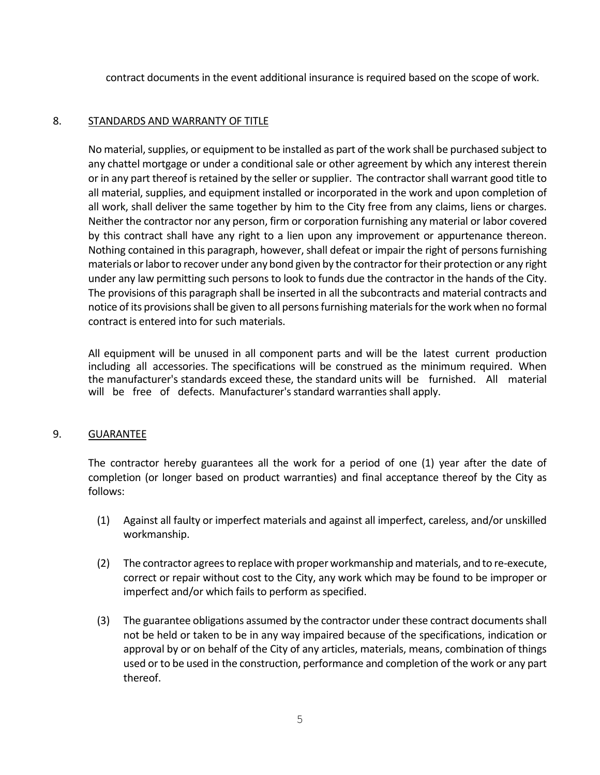contract documents in the event additional insurance is required based on the scope of work.

## 8. STANDARDS AND WARRANTY OF TITLE

No material, supplies, or equipment to be installed as part of the work shall be purchased subject to any chattel mortgage or under a conditional sale or other agreement by which any interest therein or in any part thereof is retained by the seller or supplier. The contractor shall warrant good title to all material, supplies, and equipment installed or incorporated in the work and upon completion of all work, shall deliver the same together by him to the City free from any claims, liens or charges. Neither the contractor nor any person, firm or corporation furnishing any material or labor covered by this contract shall have any right to a lien upon any improvement or appurtenance thereon. Nothing contained in this paragraph, however, shall defeat or impair the right of persons furnishing materials or labor to recover under any bond given by the contractor for their protection or any right under any law permitting such persons to look to funds due the contractor in the hands of the City. The provisions of this paragraph shall be inserted in all the subcontracts and material contracts and notice of its provisions shall be given to all persons furnishing materials for the work when no formal contract is entered into for such materials.

All equipment will be unused in all component parts and will be the latest current production including all accessories. The specifications will be construed as the minimum required. When the manufacturer's standards exceed these, the standard units will be furnished. All material will be free of defects. Manufacturer's standard warranties shall apply.

## 9. GUARANTEE

The contractor hereby guarantees all the work for a period of one (1) year after the date of completion (or longer based on product warranties) and final acceptance thereof by the City as follows:

- (1) Against all faulty or imperfect materials and against all imperfect, careless, and/or unskilled workmanship.
- (2) The contractor agrees to replace with proper workmanship and materials, and to re-execute, correct or repair without cost to the City, any work which may be found to be improper or imperfect and/or which fails to perform as specified.
- (3) The guarantee obligations assumed by the contractor under these contract documents shall not be held or taken to be in any way impaired because of the specifications, indication or approval by or on behalf of the City of any articles, materials, means, combination of things used or to be used in the construction, performance and completion of the work or any part thereof.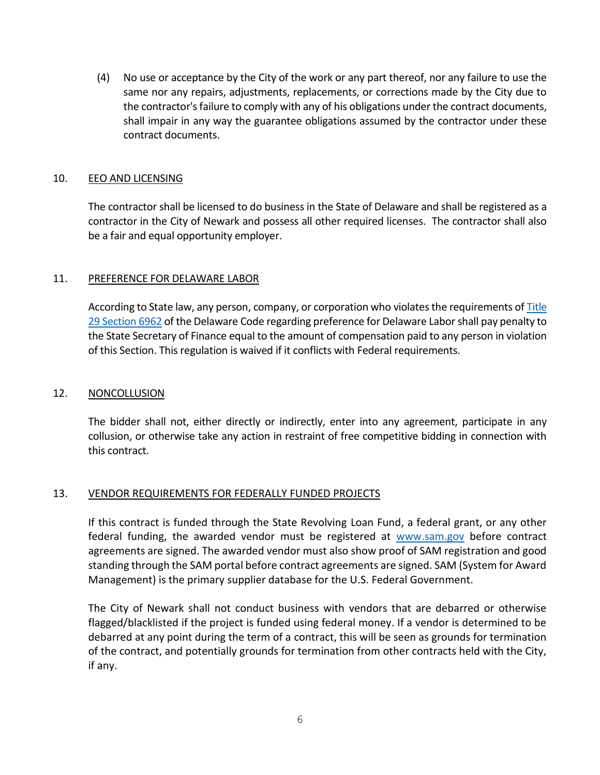(4) No use or acceptance by the City of the work or any part thereof, nor any failure to use the same nor any repairs, adjustments, replacements, or corrections made by the City due to the contractor's failure to comply with any of his obligations under the contract documents, shall impair in any way the guarantee obligations assumed by the contractor under these contract documents.

#### 10. EEO AND LICENSING

The contractor shall be licensed to do business in the State of Delaware and shall be registered as a contractor in the City of Newark and possess all other required licenses. The contractor shall also be a fair and equal opportunity employer.

## 11. PREFERENCE FOR DELAWARE LABOR

According to State law, any person, company, or corporation who violates the requirements of Title [29 Section 6962](https://delcode.delaware.gov/title29/c069/sc04/index.shtml) of the Delaware Code regarding preference for Delaware Labor shall pay penalty to the State Secretary of Finance equal to the amount of compensation paid to any person in violation of this Section. This regulation is waived if it conflicts with Federal requirements.

#### 12. NONCOLLUSION

The bidder shall not, either directly or indirectly, enter into any agreement, participate in any collusion, or otherwise take any action in restraint of free competitive bidding in connection with this contract.

## 13. VENDOR REQUIREMENTS FOR FEDERALLY FUNDED PROJECTS

If this contract is funded through the State Revolving Loan Fund, a federal grant, or any other federal funding, the awarded vendor must be registered at [www.sam.gov](http://www.sam.gov/) before contract agreements are signed. The awarded vendor must also show proof of SAM registration and good standing through the SAM portal before contract agreements are signed. SAM (System for Award Management) is the primary supplier database for the U.S. Federal Government.

The City of Newark shall not conduct business with vendors that are debarred or otherwise flagged/blacklisted if the project is funded using federal money. If a vendor is determined to be debarred at any point during the term of a contract, this will be seen as grounds for termination of the contract, and potentially grounds for termination from other contracts held with the City, if any.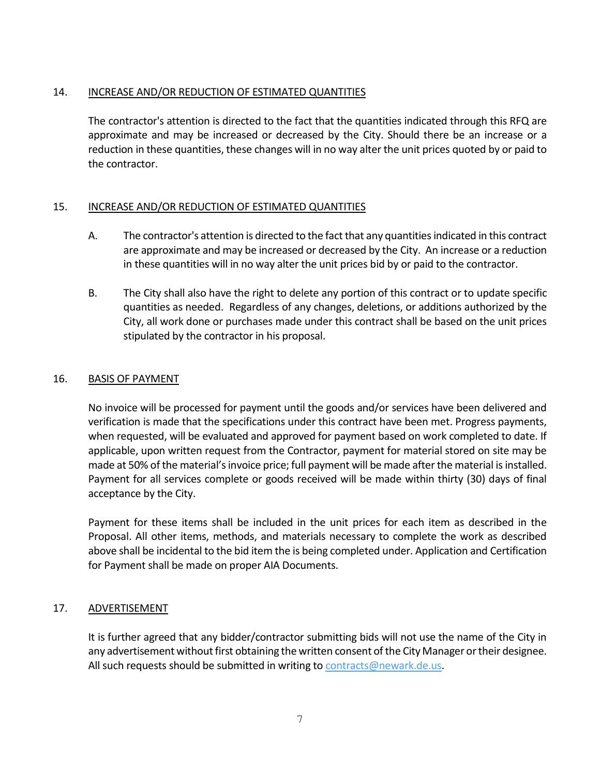## 14. INCREASE AND/OR REDUCTION OF ESTIMATED QUANTITIES

The contractor's attention is directed to the fact that the quantities indicated through this RFQ are approximate and may be increased or decreased by the City. Should there be an increase or a reduction in these quantities, these changes will in no way alter the unit prices quoted by or paid to the contractor.

## 15. INCREASE AND/OR REDUCTION OF ESTIMATED QUANTITIES

- A. The contractor's attention is directed to the fact that any quantities indicated in this contract are approximate and may be increased or decreased by the City. An increase or a reduction in these quantities will in no way alter the unit prices bid by or paid to the contractor.
- B. The City shall also have the right to delete any portion of this contract or to update specific quantities as needed. Regardless of any changes, deletions, or additions authorized by the City, all work done or purchases made under this contract shall be based on the unit prices stipulated by the contractor in his proposal.

## 16. BASIS OF PAYMENT

No invoice will be processed for payment until the goods and/or services have been delivered and verification is made that the specifications under this contract have been met. Progress payments, when requested, will be evaluated and approved for payment based on work completed to date. If applicable, upon written request from the Contractor, payment for material stored on site may be made at 50% of the material's invoice price; full payment will be made after the material is installed. Payment for all services complete or goods received will be made within thirty (30) days of final acceptance by the City.

Payment for these items shall be included in the unit prices for each item as described in the Proposal. All other items, methods, and materials necessary to complete the work as described above shall be incidental to the bid item the is being completed under. Application and Certification for Payment shall be made on proper AIA Documents.

## 17. ADVERTISEMENT

It is further agreed that any bidder/contractor submitting bids will not use the name of the City in any advertisement without first obtaining the written consent of the City Manager or their designee. All such requests should be submitted in writing to [contracts@newark.de.us.](mailto:contracts@newark.de.us)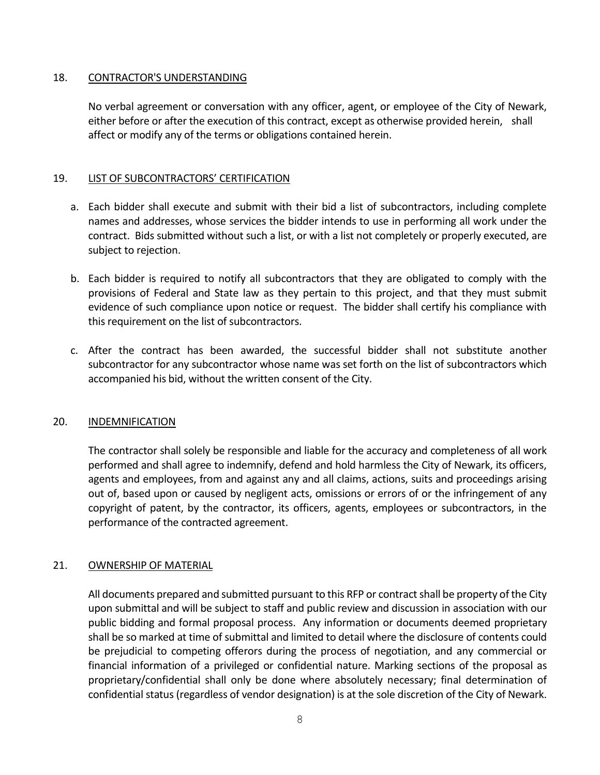#### 18. CONTRACTOR'S UNDERSTANDING

No verbal agreement or conversation with any officer, agent, or employee of the City of Newark, either before or after the execution of this contract, except as otherwise provided herein, shall affect or modify any of the terms or obligations contained herein.

## 19. LIST OF SUBCONTRACTORS' CERTIFICATION

- a. Each bidder shall execute and submit with their bid a list of subcontractors, including complete names and addresses, whose services the bidder intends to use in performing all work under the contract. Bids submitted without such a list, or with a list not completely or properly executed, are subject to rejection.
- b. Each bidder is required to notify all subcontractors that they are obligated to comply with the provisions of Federal and State law as they pertain to this project, and that they must submit evidence of such compliance upon notice or request. The bidder shall certify his compliance with this requirement on the list of subcontractors.
- c. After the contract has been awarded, the successful bidder shall not substitute another subcontractor for any subcontractor whose name was set forth on the list of subcontractors which accompanied his bid, without the written consent of the City.

## 20. INDEMNIFICATION

The contractor shall solely be responsible and liable for the accuracy and completeness of all work performed and shall agree to indemnify, defend and hold harmless the City of Newark, its officers, agents and employees, from and against any and all claims, actions, suits and proceedings arising out of, based upon or caused by negligent acts, omissions or errors of or the infringement of any copyright of patent, by the contractor, its officers, agents, employees or subcontractors, in the performance of the contracted agreement.

## 21. OWNERSHIP OF MATERIAL

All documents prepared and submitted pursuant to this RFP or contract shall be property of the City upon submittal and will be subject to staff and public review and discussion in association with our public bidding and formal proposal process. Any information or documents deemed proprietary shall be so marked at time of submittal and limited to detail where the disclosure of contents could be prejudicial to competing offerors during the process of negotiation, and any commercial or financial information of a privileged or confidential nature. Marking sections of the proposal as proprietary/confidential shall only be done where absolutely necessary; final determination of confidential status (regardless of vendor designation) is at the sole discretion of the City of Newark.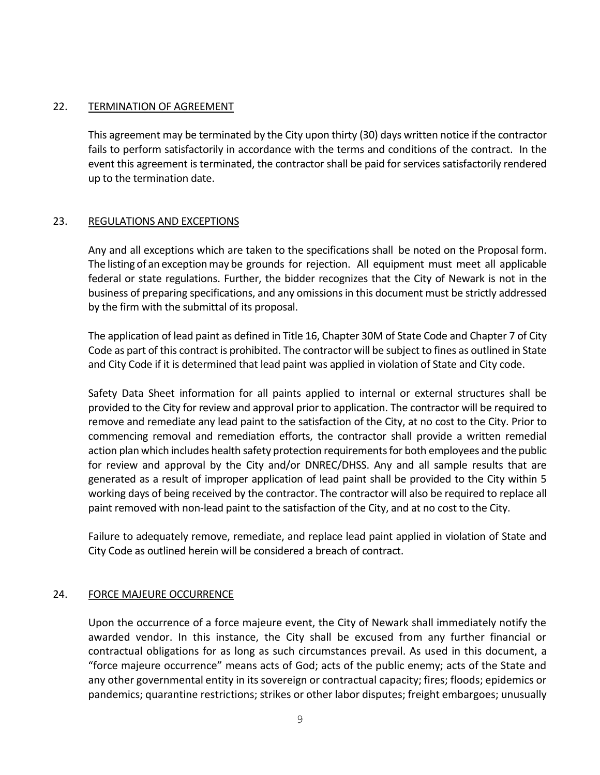#### 22. TERMINATION OF AGREEMENT

This agreement may be terminated by the City upon thirty (30) days written notice if the contractor fails to perform satisfactorily in accordance with the terms and conditions of the contract. In the event this agreement is terminated, the contractor shall be paid for services satisfactorily rendered up to the termination date.

## 23. REGULATIONS AND EXCEPTIONS

Any and all exceptions which are taken to the specifications shall be noted on the Proposal form. The listing of an exception may be grounds for rejection. All equipment must meet all applicable federal or state regulations. Further, the bidder recognizes that the City of Newark is not in the business of preparing specifications, and any omissions in this document must be strictly addressed by the firm with the submittal of its proposal.

The application of lead paint as defined in Title 16, Chapter 30M of State Code and Chapter 7 of City Code as part of this contract is prohibited. The contractor will be subject to fines as outlined in State and City Code if it is determined that lead paint was applied in violation of State and City code.

Safety Data Sheet information for all paints applied to internal or external structures shall be provided to the City for review and approval prior to application. The contractor will be required to remove and remediate any lead paint to the satisfaction of the City, at no cost to the City. Prior to commencing removal and remediation efforts, the contractor shall provide a written remedial action plan which includes health safety protection requirements for both employees and the public for review and approval by the City and/or DNREC/DHSS. Any and all sample results that are generated as a result of improper application of lead paint shall be provided to the City within 5 working days of being received by the contractor. The contractor will also be required to replace all paint removed with non-lead paint to the satisfaction of the City, and at no cost to the City.

Failure to adequately remove, remediate, and replace lead paint applied in violation of State and City Code as outlined herein will be considered a breach of contract.

## 24. FORCE MAJEURE OCCURRENCE

Upon the occurrence of a force majeure event, the City of Newark shall immediately notify the awarded vendor. In this instance, the City shall be excused from any further financial or contractual obligations for as long as such circumstances prevail. As used in this document, a "force majeure occurrence" means acts of God; acts of the public enemy; acts of the State and any other governmental entity in its sovereign or contractual capacity; fires; floods; epidemics or pandemics; quarantine restrictions; strikes or other labor disputes; freight embargoes; unusually